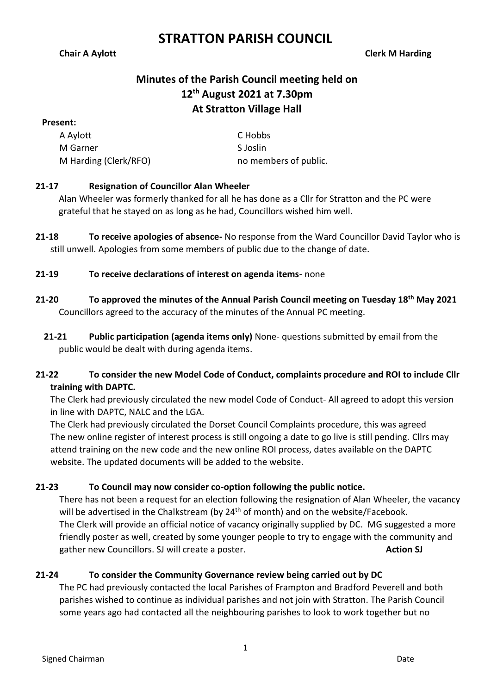**Chair A Aylott Clerk M Harding**

# **Minutes of the Parish Council meeting held on 12th August 2021 at 7.30pm At Stratton Village Hall**

#### **Present:**

| A Aylott              | C Hobbs               |
|-----------------------|-----------------------|
| M Garner              | S Joslin              |
| M Harding (Clerk/RFO) | no members of public. |

## **21-17 Resignation of Councillor Alan Wheeler**

Alan Wheeler was formerly thanked for all he has done as a Cllr for Stratton and the PC were grateful that he stayed on as long as he had, Councillors wished him well.

**21-18 To receive apologies of absence-** No response from the Ward Councillor David Taylor who is still unwell. Apologies from some members of public due to the change of date.

## **21-19 To receive declarations of interest on agenda items**- none

- **21-20 To approved the minutes of the Annual Parish Council meeting on Tuesday 18 th May 2021** Councillors agreed to the accuracy of the minutes of the Annual PC meeting.
- **21-21 Public participation (agenda items only)** None- questions submitted by email from the public would be dealt with during agenda items.

## **21-22 To consider the new Model Code of Conduct, complaints procedure and ROI to include Cllr training with DAPTC.**

The Clerk had previously circulated the new model Code of Conduct- All agreed to adopt this version in line with DAPTC, NALC and the LGA.

The Clerk had previously circulated the Dorset Council Complaints procedure, this was agreed The new online register of interest process is still ongoing a date to go live is still pending. Cllrs may attend training on the new code and the new online ROI process, dates available on the DAPTC website. The updated documents will be added to the website.

## **21-23 To Council may now consider co-option following the public notice.**

There has not been a request for an election following the resignation of Alan Wheeler, the vacancy will be advertised in the Chalkstream (by 24<sup>th</sup> of month) and on the website/Facebook. The Clerk will provide an official notice of vacancy originally supplied by DC. MG suggested a more friendly poster as well, created by some younger people to try to engage with the community and gather new Councillors. SJ will create a poster. **Action SJ**

## **21-24 To consider the Community Governance review being carried out by DC**

The PC had previously contacted the local Parishes of Frampton and Bradford Peverell and both parishes wished to continue as individual parishes and not join with Stratton. The Parish Council some years ago had contacted all the neighbouring parishes to look to work together but no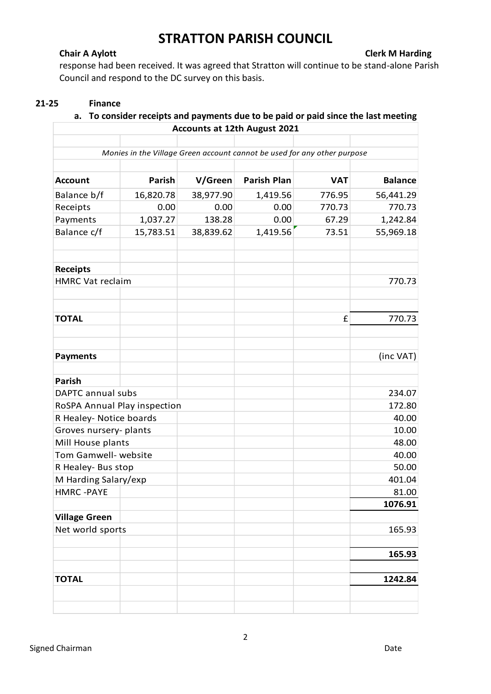**Chair A Aylott Clerk M Harding**

response had been received. It was agreed that Stratton will continue to be stand-alone Parish Council and respond to the DC survey on this basis.

### **21-25 Finance**

### **a. To consider receipts and payments due to be paid or paid since the last meeting Accounts at 12th August 2021**

|                              |               |           | Monies in the Village Green account cannot be used for any other purpose |            |                |
|------------------------------|---------------|-----------|--------------------------------------------------------------------------|------------|----------------|
|                              |               |           |                                                                          |            |                |
| <b>Account</b>               | <b>Parish</b> | V/Green   | <b>Parish Plan</b>                                                       | <b>VAT</b> | <b>Balance</b> |
| Balance b/f                  | 16,820.78     | 38,977.90 | 1,419.56                                                                 | 776.95     | 56,441.29      |
| Receipts                     | 0.00          | 0.00      | 0.00                                                                     | 770.73     | 770.73         |
| Payments                     | 1,037.27      | 138.28    | 0.00                                                                     | 67.29      | 1,242.84       |
| Balance c/f                  | 15,783.51     | 38,839.62 | 1,419.56                                                                 | 73.51      | 55,969.18      |
| <b>Receipts</b>              |               |           |                                                                          |            |                |
| <b>HMRC Vat reclaim</b>      |               |           |                                                                          |            | 770.73         |
| <b>TOTAL</b>                 |               |           |                                                                          | £          | 770.73         |
|                              |               |           |                                                                          |            |                |
| <b>Payments</b>              |               |           |                                                                          |            | (inc VAT)      |
| Parish                       |               |           |                                                                          |            |                |
| DAPTC annual subs            |               |           |                                                                          |            | 234.07         |
| RoSPA Annual Play inspection |               |           |                                                                          |            | 172.80         |
| R Healey- Notice boards      |               |           |                                                                          |            | 40.00          |
| Groves nursery- plants       |               |           |                                                                          |            | 10.00          |
| Mill House plants            |               |           |                                                                          |            | 48.00          |
| Tom Gamwell- website         |               |           |                                                                          |            | 40.00          |
| R Healey- Bus stop           |               |           |                                                                          |            | 50.00          |
| M Harding Salary/exp         |               |           |                                                                          |            | 401.04         |
| <b>HMRC -PAYE</b>            |               |           |                                                                          |            | 81.00          |
|                              |               |           |                                                                          |            | 1076.91        |
| <b>Village Green</b>         |               |           |                                                                          |            |                |
| Net world sports             |               |           |                                                                          |            | 165.93         |
|                              |               |           |                                                                          |            | 165.93         |
|                              |               |           |                                                                          |            |                |
| <b>TOTAL</b>                 |               |           |                                                                          |            | 1242.84        |
|                              |               |           |                                                                          |            |                |
|                              |               |           |                                                                          |            |                |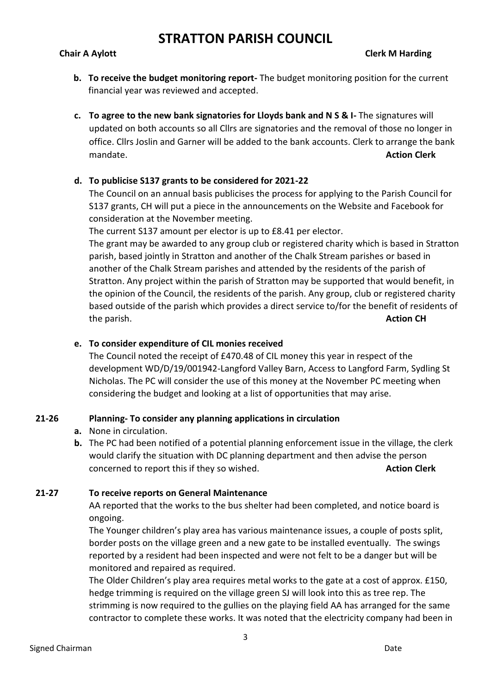### **Chair A Aylott Clerk M Harding**

- **b. To receive the budget monitoring report-** The budget monitoring position for the current financial year was reviewed and accepted.
- **c. To agree to the new bank signatories for Lloyds bank and N S & I-** The signatures will updated on both accounts so all Cllrs are signatories and the removal of those no longer in office. Cllrs Joslin and Garner will be added to the bank accounts. Clerk to arrange the bank mandate. **Action Clerk**

#### **d. To publicise S137 grants to be considered for 2021-22**

The Council on an annual basis publicises the process for applying to the Parish Council for S137 grants, CH will put a piece in the announcements on the Website and Facebook for consideration at the November meeting.

The current S137 amount per elector is up to £8.41 per elector.

The grant may be awarded to any group club or registered charity which is based in Stratton parish, based jointly in Stratton and another of the Chalk Stream parishes or based in another of the Chalk Stream parishes and attended by the residents of the parish of Stratton. Any project within the parish of Stratton may be supported that would benefit, in the opinion of the Council, the residents of the parish. Any group, club or registered charity based outside of the parish which provides a direct service to/for the benefit of residents of the parish. **Action CH**

#### **e. To consider expenditure of CIL monies received**

The Council noted the receipt of £470.48 of CIL money this year in respect of the development WD/D/19/001942-Langford Valley Barn, Access to Langford Farm, Sydling St Nicholas. The PC will consider the use of this money at the November PC meeting when considering the budget and looking at a list of opportunities that may arise.

#### **21-26 Planning- To consider any planning applications in circulation**

**a.** None in circulation.

**b.** The PC had been notified of a potential planning enforcement issue in the village, the clerk would clarify the situation with DC planning department and then advise the person concerned to report this if they so wished. **Action Clerk Action Clerk** 

#### **21-27 To receive reports on General Maintenance**

AA reported that the works to the bus shelter had been completed, and notice board is ongoing.

The Younger children's play area has various maintenance issues, a couple of posts split, border posts on the village green and a new gate to be installed eventually. The swings reported by a resident had been inspected and were not felt to be a danger but will be monitored and repaired as required.

The Older Children's play area requires metal works to the gate at a cost of approx. £150, hedge trimming is required on the village green SJ will look into this as tree rep. The strimming is now required to the gullies on the playing field AA has arranged for the same contractor to complete these works. It was noted that the electricity company had been in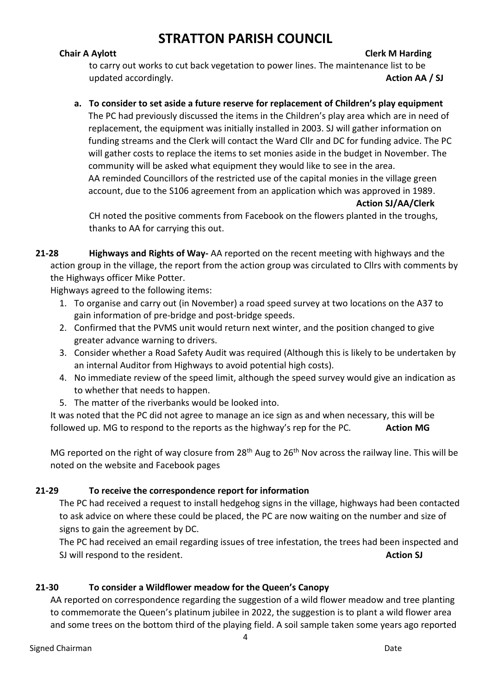### **Chair A Aylott Clerk M Harding**

to carry out works to cut back vegetation to power lines. The maintenance list to be updated accordingly. **Action AA** / SJ

### **a. To consider to set aside a future reserve for replacement of Children's play equipment**

The PC had previously discussed the items in the Children's play area which are in need of replacement, the equipment was initially installed in 2003. SJ will gather information on funding streams and the Clerk will contact the Ward Cllr and DC for funding advice. The PC will gather costs to replace the items to set monies aside in the budget in November. The community will be asked what equipment they would like to see in the area. AA reminded Councillors of the restricted use of the capital monies in the village green account, due to the S106 agreement from an application which was approved in 1989.

**Action SJ/AA/Clerk**

CH noted the positive comments from Facebook on the flowers planted in the troughs, thanks to AA for carrying this out.

**21-28 Highways and Rights of Way-** AA reported on the recent meeting with highways and the action group in the village, the report from the action group was circulated to Cllrs with comments by the Highways officer Mike Potter.

Highways agreed to the following items:

- 1. To organise and carry out (in November) a road speed survey at two locations on the A37 to gain information of pre-bridge and post-bridge speeds.
- 2. Confirmed that the PVMS unit would return next winter, and the position changed to give greater advance warning to drivers.
- 3. Consider whether a Road Safety Audit was required (Although this is likely to be undertaken by an internal Auditor from Highways to avoid potential high costs).
- 4. No immediate review of the speed limit, although the speed survey would give an indication as to whether that needs to happen.
- 5. The matter of the riverbanks would be looked into.

It was noted that the PC did not agree to manage an ice sign as and when necessary, this will be followed up. MG to respond to the reports as the highway's rep for the PC. **Action MG** 

MG reported on the right of way closure from 28<sup>th</sup> Aug to 26<sup>th</sup> Nov across the railway line. This will be noted on the website and Facebook pages

### **21-29 To receive the correspondence report for information**

The PC had received a request to install hedgehog signs in the village, highways had been contacted to ask advice on where these could be placed, the PC are now waiting on the number and size of signs to gain the agreement by DC.

The PC had received an email regarding issues of tree infestation, the trees had been inspected and SJ will respond to the resident. **Action SJ** 

### **21-30 To consider a Wildflower meadow for the Queen's Canopy**

AA reported on correspondence regarding the suggestion of a wild flower meadow and tree planting to commemorate the Queen's platinum jubilee in 2022, the suggestion is to plant a wild flower area and some trees on the bottom third of the playing field. A soil sample taken some years ago reported